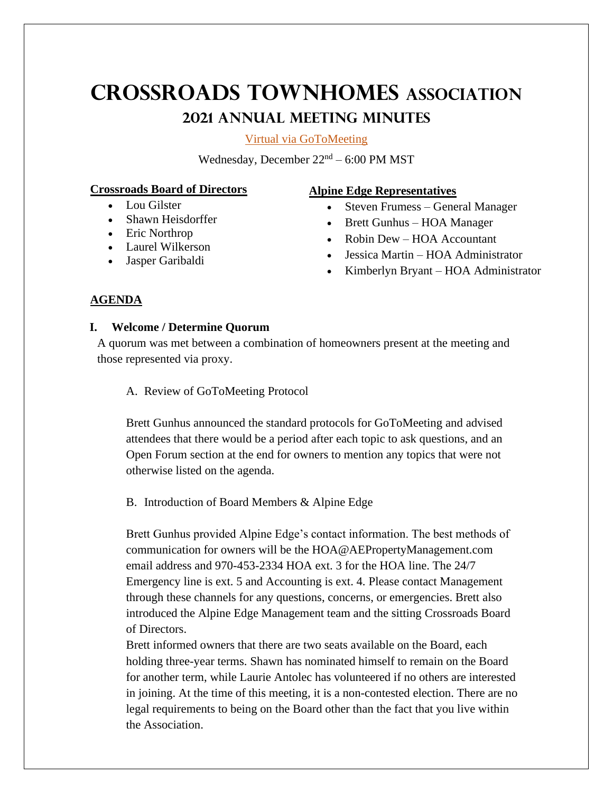# **Crossroads Townhomes Association 2021 ANNUAL MEETING minutes**

[Virtual via GoToMeeting](https://www.gotomeet.me/AlpineEdgeHOAManagement/crt-2021-meeting)

Wednesday, December  $22<sup>nd</sup> - 6:00$  PM MST

# **Crossroads Board of Directors**

- Lou Gilster
- Shawn Heisdorffer
- Eric Northrop
- Laurel Wilkerson
- Jasper Garibaldi

# **Alpine Edge Representatives**

- Steven Frumess General Manager
- Brett Gunhus HOA Manager
- Robin Dew HOA Accountant
- Jessica Martin HOA Administrator
- Kimberlyn Bryant HOA Administrator

# **AGENDA**

# **I. Welcome / Determine Quorum**

A quorum was met between a combination of homeowners present at the meeting and those represented via proxy.

# A. Review of GoToMeeting Protocol

Brett Gunhus announced the standard protocols for GoToMeeting and advised attendees that there would be a period after each topic to ask questions, and an Open Forum section at the end for owners to mention any topics that were not otherwise listed on the agenda.

# B. Introduction of Board Members & Alpine Edge

Brett Gunhus provided Alpine Edge's contact information. The best methods of communication for owners will be the HOA@AEPropertyManagement.com email address and 970-453-2334 HOA ext. 3 for the HOA line. The 24/7 Emergency line is ext. 5 and Accounting is ext. 4. Please contact Management through these channels for any questions, concerns, or emergencies. Brett also introduced the Alpine Edge Management team and the sitting Crossroads Board of Directors.

Brett informed owners that there are two seats available on the Board, each holding three-year terms. Shawn has nominated himself to remain on the Board for another term, while Laurie Antolec has volunteered if no others are interested in joining. At the time of this meeting, it is a non-contested election. There are no legal requirements to being on the Board other than the fact that you live within the Association.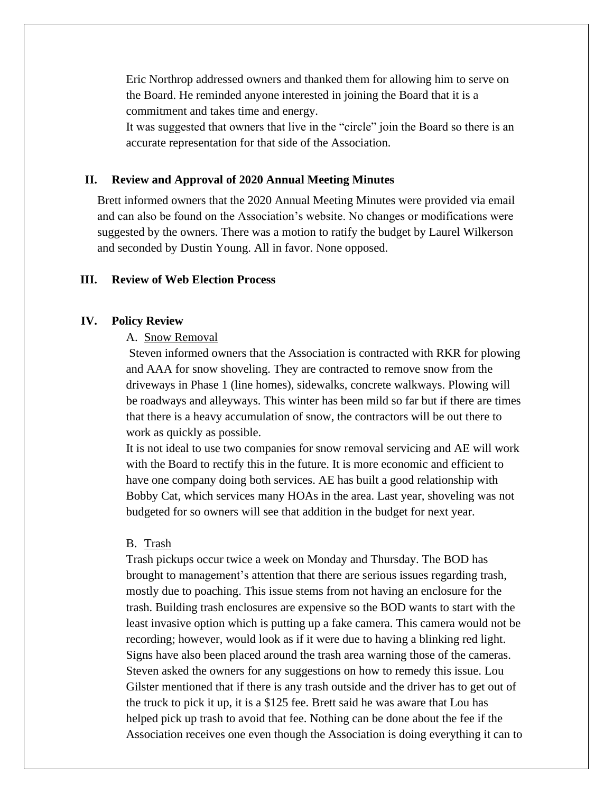Eric Northrop addressed owners and thanked them for allowing him to serve on the Board. He reminded anyone interested in joining the Board that it is a commitment and takes time and energy.

It was suggested that owners that live in the "circle" join the Board so there is an accurate representation for that side of the Association.

#### **II. Review and Approval of 2020 Annual Meeting Minutes**

Brett informed owners that the 2020 Annual Meeting Minutes were provided via email and can also be found on the Association's website. No changes or modifications were suggested by the owners. There was a motion to ratify the budget by Laurel Wilkerson and seconded by Dustin Young. All in favor. None opposed.

## **III. Review of Web Election Process**

## **IV. Policy Review**

### A. Snow Removal

Steven informed owners that the Association is contracted with RKR for plowing and AAA for snow shoveling. They are contracted to remove snow from the driveways in Phase 1 (line homes), sidewalks, concrete walkways. Plowing will be roadways and alleyways. This winter has been mild so far but if there are times that there is a heavy accumulation of snow, the contractors will be out there to work as quickly as possible.

It is not ideal to use two companies for snow removal servicing and AE will work with the Board to rectify this in the future. It is more economic and efficient to have one company doing both services. AE has built a good relationship with Bobby Cat, which services many HOAs in the area. Last year, shoveling was not budgeted for so owners will see that addition in the budget for next year.

#### B. Trash

Trash pickups occur twice a week on Monday and Thursday. The BOD has brought to management's attention that there are serious issues regarding trash, mostly due to poaching. This issue stems from not having an enclosure for the trash. Building trash enclosures are expensive so the BOD wants to start with the least invasive option which is putting up a fake camera. This camera would not be recording; however, would look as if it were due to having a blinking red light. Signs have also been placed around the trash area warning those of the cameras. Steven asked the owners for any suggestions on how to remedy this issue. Lou Gilster mentioned that if there is any trash outside and the driver has to get out of the truck to pick it up, it is a \$125 fee. Brett said he was aware that Lou has helped pick up trash to avoid that fee. Nothing can be done about the fee if the Association receives one even though the Association is doing everything it can to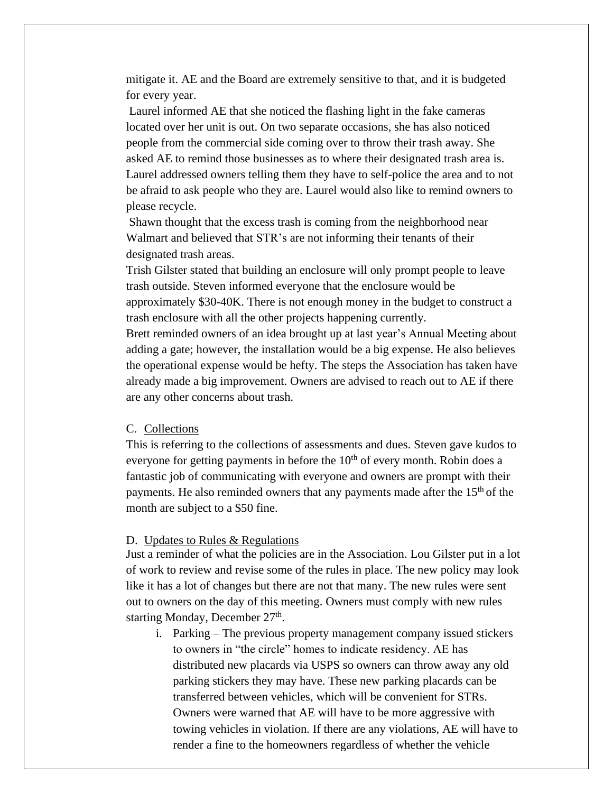mitigate it. AE and the Board are extremely sensitive to that, and it is budgeted for every year.

Laurel informed AE that she noticed the flashing light in the fake cameras located over her unit is out. On two separate occasions, she has also noticed people from the commercial side coming over to throw their trash away. She asked AE to remind those businesses as to where their designated trash area is. Laurel addressed owners telling them they have to self-police the area and to not be afraid to ask people who they are. Laurel would also like to remind owners to please recycle.

Shawn thought that the excess trash is coming from the neighborhood near Walmart and believed that STR's are not informing their tenants of their designated trash areas.

Trish Gilster stated that building an enclosure will only prompt people to leave trash outside. Steven informed everyone that the enclosure would be approximately \$30-40K. There is not enough money in the budget to construct a trash enclosure with all the other projects happening currently.

Brett reminded owners of an idea brought up at last year's Annual Meeting about adding a gate; however, the installation would be a big expense. He also believes the operational expense would be hefty. The steps the Association has taken have already made a big improvement. Owners are advised to reach out to AE if there are any other concerns about trash.

## C. Collections

This is referring to the collections of assessments and dues. Steven gave kudos to everyone for getting payments in before the  $10<sup>th</sup>$  of every month. Robin does a fantastic job of communicating with everyone and owners are prompt with their payments. He also reminded owners that any payments made after the 15<sup>th</sup> of the month are subject to a \$50 fine.

### D. Updates to Rules & Regulations

Just a reminder of what the policies are in the Association. Lou Gilster put in a lot of work to review and revise some of the rules in place. The new policy may look like it has a lot of changes but there are not that many. The new rules were sent out to owners on the day of this meeting. Owners must comply with new rules starting Monday, December 27<sup>th</sup>.

i. Parking – The previous property management company issued stickers to owners in "the circle" homes to indicate residency. AE has distributed new placards via USPS so owners can throw away any old parking stickers they may have. These new parking placards can be transferred between vehicles, which will be convenient for STRs. Owners were warned that AE will have to be more aggressive with towing vehicles in violation. If there are any violations, AE will have to render a fine to the homeowners regardless of whether the vehicle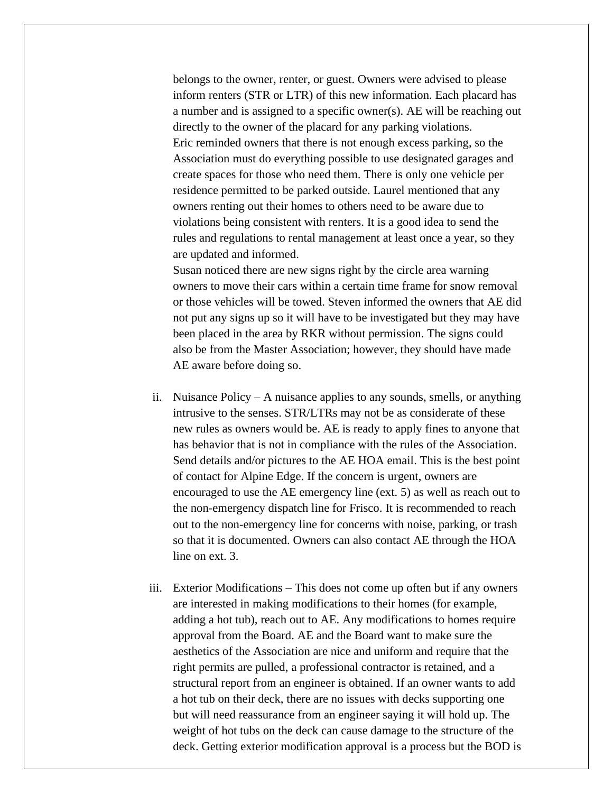belongs to the owner, renter, or guest. Owners were advised to please inform renters (STR or LTR) of this new information. Each placard has a number and is assigned to a specific owner(s). AE will be reaching out directly to the owner of the placard for any parking violations. Eric reminded owners that there is not enough excess parking, so the Association must do everything possible to use designated garages and create spaces for those who need them. There is only one vehicle per residence permitted to be parked outside. Laurel mentioned that any owners renting out their homes to others need to be aware due to violations being consistent with renters. It is a good idea to send the rules and regulations to rental management at least once a year, so they are updated and informed.

Susan noticed there are new signs right by the circle area warning owners to move their cars within a certain time frame for snow removal or those vehicles will be towed. Steven informed the owners that AE did not put any signs up so it will have to be investigated but they may have been placed in the area by RKR without permission. The signs could also be from the Master Association; however, they should have made AE aware before doing so.

- ii. Nuisance Policy A nuisance applies to any sounds, smells, or anything intrusive to the senses. STR/LTRs may not be as considerate of these new rules as owners would be. AE is ready to apply fines to anyone that has behavior that is not in compliance with the rules of the Association. Send details and/or pictures to the AE HOA email. This is the best point of contact for Alpine Edge. If the concern is urgent, owners are encouraged to use the AE emergency line (ext. 5) as well as reach out to the non-emergency dispatch line for Frisco. It is recommended to reach out to the non-emergency line for concerns with noise, parking, or trash so that it is documented. Owners can also contact AE through the HOA line on ext. 3.
- iii. Exterior Modifications This does not come up often but if any owners are interested in making modifications to their homes (for example, adding a hot tub), reach out to AE. Any modifications to homes require approval from the Board. AE and the Board want to make sure the aesthetics of the Association are nice and uniform and require that the right permits are pulled, a professional contractor is retained, and a structural report from an engineer is obtained. If an owner wants to add a hot tub on their deck, there are no issues with decks supporting one but will need reassurance from an engineer saying it will hold up. The weight of hot tubs on the deck can cause damage to the structure of the deck. Getting exterior modification approval is a process but the BOD is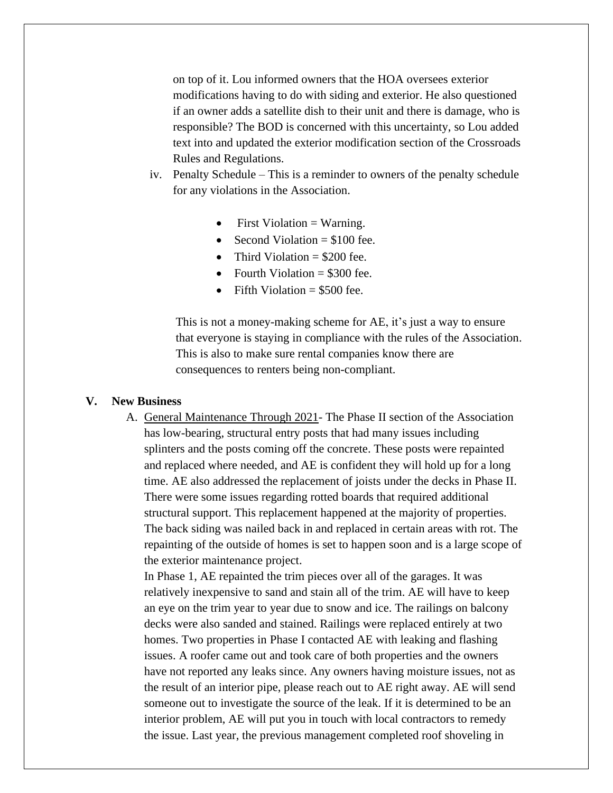on top of it. Lou informed owners that the HOA oversees exterior modifications having to do with siding and exterior. He also questioned if an owner adds a satellite dish to their unit and there is damage, who is responsible? The BOD is concerned with this uncertainty, so Lou added text into and updated the exterior modification section of the Crossroads Rules and Regulations.

- iv. Penalty Schedule This is a reminder to owners of the penalty schedule for any violations in the Association.
	- First Violation  $=$  Warning.
	- Second Violation  $= $100$  fee.
	- Third Violation  $= $200$  fee.
	- Fourth Violation  $= $300$  fee.
	- Fifth Violation  $= $500$  fee.

This is not a money-making scheme for AE, it's just a way to ensure that everyone is staying in compliance with the rules of the Association. This is also to make sure rental companies know there are consequences to renters being non-compliant.

#### **V. New Business**

A. General Maintenance Through 2021- The Phase II section of the Association has low-bearing, structural entry posts that had many issues including splinters and the posts coming off the concrete. These posts were repainted and replaced where needed, and AE is confident they will hold up for a long time. AE also addressed the replacement of joists under the decks in Phase II. There were some issues regarding rotted boards that required additional structural support. This replacement happened at the majority of properties. The back siding was nailed back in and replaced in certain areas with rot. The repainting of the outside of homes is set to happen soon and is a large scope of the exterior maintenance project.

In Phase 1, AE repainted the trim pieces over all of the garages. It was relatively inexpensive to sand and stain all of the trim. AE will have to keep an eye on the trim year to year due to snow and ice. The railings on balcony decks were also sanded and stained. Railings were replaced entirely at two homes. Two properties in Phase I contacted AE with leaking and flashing issues. A roofer came out and took care of both properties and the owners have not reported any leaks since. Any owners having moisture issues, not as the result of an interior pipe, please reach out to AE right away. AE will send someone out to investigate the source of the leak. If it is determined to be an interior problem, AE will put you in touch with local contractors to remedy the issue. Last year, the previous management completed roof shoveling in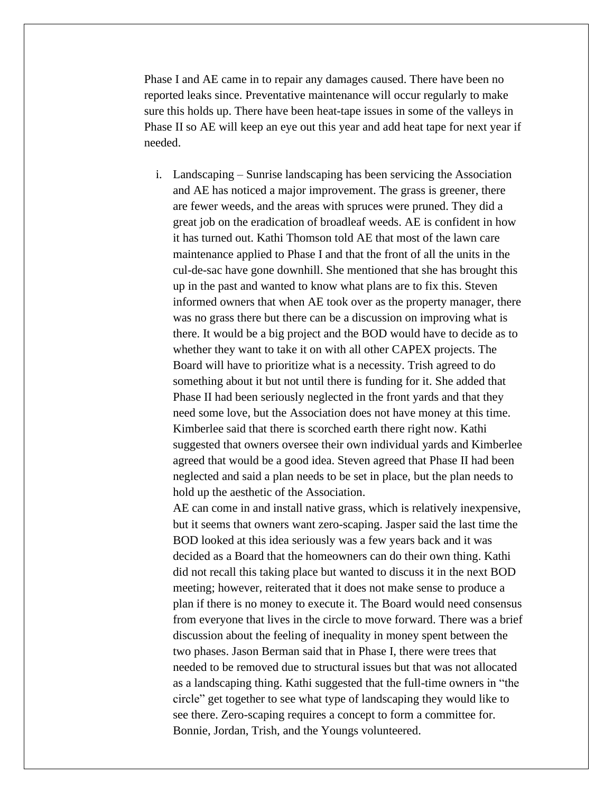Phase I and AE came in to repair any damages caused. There have been no reported leaks since. Preventative maintenance will occur regularly to make sure this holds up. There have been heat-tape issues in some of the valleys in Phase II so AE will keep an eye out this year and add heat tape for next year if needed.

i. Landscaping – Sunrise landscaping has been servicing the Association and AE has noticed a major improvement. The grass is greener, there are fewer weeds, and the areas with spruces were pruned. They did a great job on the eradication of broadleaf weeds. AE is confident in how it has turned out. Kathi Thomson told AE that most of the lawn care maintenance applied to Phase I and that the front of all the units in the cul-de-sac have gone downhill. She mentioned that she has brought this up in the past and wanted to know what plans are to fix this. Steven informed owners that when AE took over as the property manager, there was no grass there but there can be a discussion on improving what is there. It would be a big project and the BOD would have to decide as to whether they want to take it on with all other CAPEX projects. The Board will have to prioritize what is a necessity. Trish agreed to do something about it but not until there is funding for it. She added that Phase II had been seriously neglected in the front yards and that they need some love, but the Association does not have money at this time. Kimberlee said that there is scorched earth there right now. Kathi suggested that owners oversee their own individual yards and Kimberlee agreed that would be a good idea. Steven agreed that Phase II had been neglected and said a plan needs to be set in place, but the plan needs to hold up the aesthetic of the Association.

AE can come in and install native grass, which is relatively inexpensive, but it seems that owners want zero-scaping. Jasper said the last time the BOD looked at this idea seriously was a few years back and it was decided as a Board that the homeowners can do their own thing. Kathi did not recall this taking place but wanted to discuss it in the next BOD meeting; however, reiterated that it does not make sense to produce a plan if there is no money to execute it. The Board would need consensus from everyone that lives in the circle to move forward. There was a brief discussion about the feeling of inequality in money spent between the two phases. Jason Berman said that in Phase I, there were trees that needed to be removed due to structural issues but that was not allocated as a landscaping thing. Kathi suggested that the full-time owners in "the circle" get together to see what type of landscaping they would like to see there. Zero-scaping requires a concept to form a committee for. Bonnie, Jordan, Trish, and the Youngs volunteered.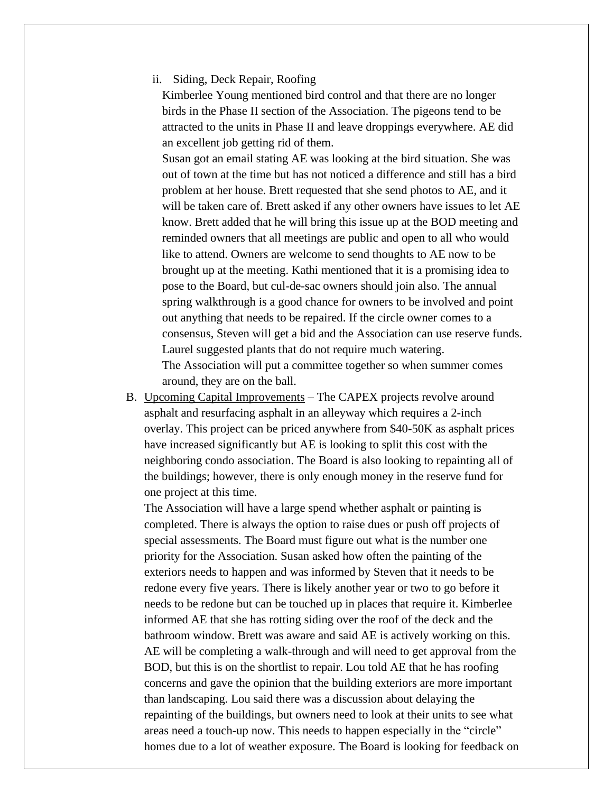ii. Siding, Deck Repair, Roofing

Kimberlee Young mentioned bird control and that there are no longer birds in the Phase II section of the Association. The pigeons tend to be attracted to the units in Phase II and leave droppings everywhere. AE did an excellent job getting rid of them.

Susan got an email stating AE was looking at the bird situation. She was out of town at the time but has not noticed a difference and still has a bird problem at her house. Brett requested that she send photos to AE, and it will be taken care of. Brett asked if any other owners have issues to let AE know. Brett added that he will bring this issue up at the BOD meeting and reminded owners that all meetings are public and open to all who would like to attend. Owners are welcome to send thoughts to AE now to be brought up at the meeting. Kathi mentioned that it is a promising idea to pose to the Board, but cul-de-sac owners should join also. The annual spring walkthrough is a good chance for owners to be involved and point out anything that needs to be repaired. If the circle owner comes to a consensus, Steven will get a bid and the Association can use reserve funds. Laurel suggested plants that do not require much watering. The Association will put a committee together so when summer comes around, they are on the ball.

B. Upcoming Capital Improvements – The CAPEX projects revolve around asphalt and resurfacing asphalt in an alleyway which requires a 2-inch overlay. This project can be priced anywhere from \$40-50K as asphalt prices have increased significantly but AE is looking to split this cost with the neighboring condo association. The Board is also looking to repainting all of the buildings; however, there is only enough money in the reserve fund for one project at this time.

The Association will have a large spend whether asphalt or painting is completed. There is always the option to raise dues or push off projects of special assessments. The Board must figure out what is the number one priority for the Association. Susan asked how often the painting of the exteriors needs to happen and was informed by Steven that it needs to be redone every five years. There is likely another year or two to go before it needs to be redone but can be touched up in places that require it. Kimberlee informed AE that she has rotting siding over the roof of the deck and the bathroom window. Brett was aware and said AE is actively working on this. AE will be completing a walk-through and will need to get approval from the BOD, but this is on the shortlist to repair. Lou told AE that he has roofing concerns and gave the opinion that the building exteriors are more important than landscaping. Lou said there was a discussion about delaying the repainting of the buildings, but owners need to look at their units to see what areas need a touch-up now. This needs to happen especially in the "circle" homes due to a lot of weather exposure. The Board is looking for feedback on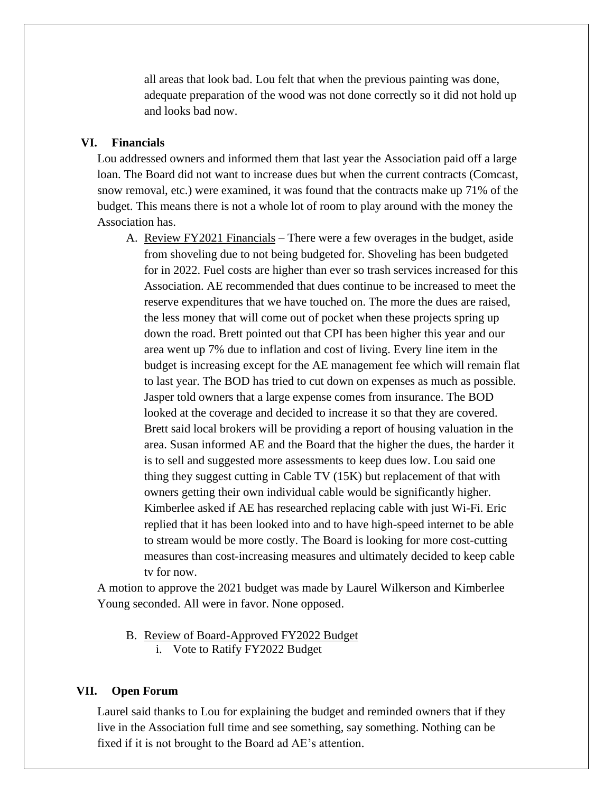all areas that look bad. Lou felt that when the previous painting was done, adequate preparation of the wood was not done correctly so it did not hold up and looks bad now.

### **VI. Financials**

Lou addressed owners and informed them that last year the Association paid off a large loan. The Board did not want to increase dues but when the current contracts (Comcast, snow removal, etc.) were examined, it was found that the contracts make up 71% of the budget. This means there is not a whole lot of room to play around with the money the Association has.

A. Review FY2021 Financials – There were a few overages in the budget, aside from shoveling due to not being budgeted for. Shoveling has been budgeted for in 2022. Fuel costs are higher than ever so trash services increased for this Association. AE recommended that dues continue to be increased to meet the reserve expenditures that we have touched on. The more the dues are raised, the less money that will come out of pocket when these projects spring up down the road. Brett pointed out that CPI has been higher this year and our area went up 7% due to inflation and cost of living. Every line item in the budget is increasing except for the AE management fee which will remain flat to last year. The BOD has tried to cut down on expenses as much as possible. Jasper told owners that a large expense comes from insurance. The BOD looked at the coverage and decided to increase it so that they are covered. Brett said local brokers will be providing a report of housing valuation in the area. Susan informed AE and the Board that the higher the dues, the harder it is to sell and suggested more assessments to keep dues low. Lou said one thing they suggest cutting in Cable TV (15K) but replacement of that with owners getting their own individual cable would be significantly higher. Kimberlee asked if AE has researched replacing cable with just Wi-Fi. Eric replied that it has been looked into and to have high-speed internet to be able to stream would be more costly. The Board is looking for more cost-cutting measures than cost-increasing measures and ultimately decided to keep cable tv for now.

A motion to approve the 2021 budget was made by Laurel Wilkerson and Kimberlee Young seconded. All were in favor. None opposed.

- B. Review of Board-Approved FY2022 Budget
	- i. Vote to Ratify FY2022 Budget

# **VII. Open Forum**

Laurel said thanks to Lou for explaining the budget and reminded owners that if they live in the Association full time and see something, say something. Nothing can be fixed if it is not brought to the Board ad AE's attention.